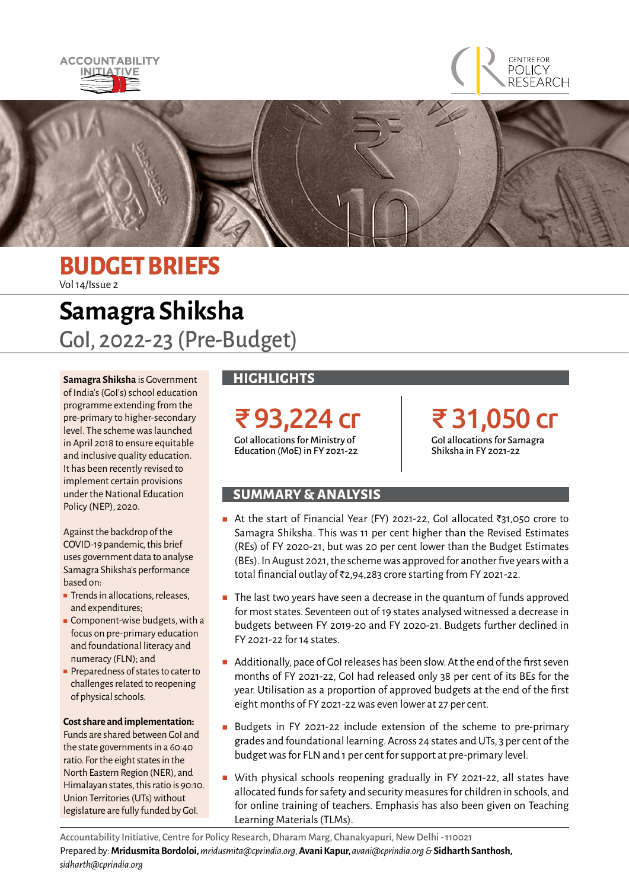





### **BUDGET BRIEFS** Vol 14/Issue 2

# **Samagra Shiksha** GoI, 2022-23 (Pre-Budget)

**Samagra Shiksha** is Government of India's (GoI's) school education programme extending from the pre-primary to higher-secondary level. The scheme was launched in April 2018 to ensure equitable and inclusive quality education. It has been recently revised to implement certain provisions under the National Education Policy (NEP), 2020.

Against the backdrop of the COVID-19 pandemic, this brief uses government data to analyse Samagra Shiksha's performance based on:

- Trends in allocations, releases, and expenditures;
- Component-wise budgets, with a focus on pre-primary education and foundational literacy and numeracy (FLN); and
- Preparedness of states to cater to challenges related to reopening of physical schools.

#### **Cost share and implementation:**

Funds are shared between GoI and the state governments in a 60:40 ratio. For the eight states in the North Eastern Region (NER), and Himalayan states, this ratio is 90:10. Union Territories (UTs) without legislature are fully funded by GoI.

### **HIGHLIGHTS**

₹93,224 cr GoI allocations for Ministry of Education (MoE) in FY 2021-22

₹ 31,050 cr GoI allocations for Samagra Shiksha in FY 2021-22

### **SUMMARY & ANALYSIS**

- At the start of Financial Year (FY) 2021-22, Gol allocated ₹31,050 crore to Samagra Shiksha. This was 11 per cent higher than the Revised Estimates (REs) of FY 2020-21, but was 20 per cent lower than the Budget Estimates (BEs). In August 2021, the scheme was approved for another five years with a total financial outlay of ₹2,94,283 crore starting from FY 2021-22.
- The last two years have seen a decrease in the quantum of funds approved for most states. Seventeen out of 19 states analysed witnessed a decrease in budgets between FY 2019-20 and FY 2020-21. Budgets further declined in FY 2021-22 for 14 states.
- Additionally, pace of GoI releases has been slow. At the end of the first seven months of FY 2021-22, GoI had released only 38 per cent of its BEs for the year. Utilisation as a proportion of approved budgets at the end of the first eight months of FY 2021-22 was even lower at 27 per cent.
- Budgets in FY 2021-22 include extension of the scheme to pre-primary grades and foundational learning. Across 24 states and UTs, 3 per cent of the budget was for FLN and 1 per cent for support at pre-primary level.
- With physical schools reopening gradually in FY 2021-22, all states have allocated funds for safety and security measures for children in schools, and for online training of teachers. Emphasis has also been given on Teaching Learning Materials (TLMs).

Accountability Initiative, Centre for Policy Research, Dharam Marg, Chanakyapuri, New Delhi - 110021 Prepared by:**Mridusmita Bordoloi,** *mridusmita@cprindia.org,* **Avani Kapur,** *avani@cprindia.org &* **Sidharth Santhosh,**  *sidharth@cprindia.org*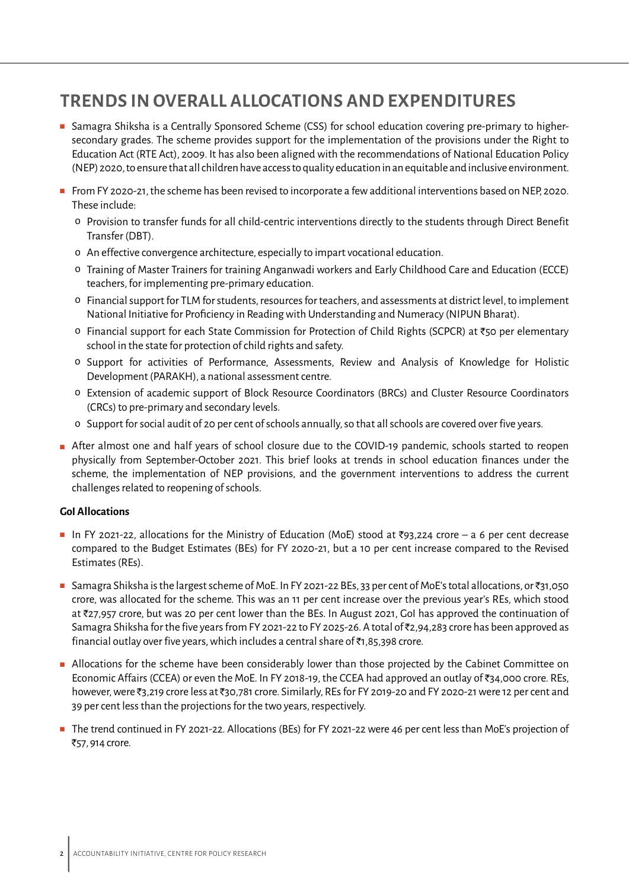## **TRENDS IN OVERALL ALLOCATIONS AND EXPENDITURES**

- Samagra Shiksha is a Centrally Sponsored Scheme (CSS) for school education covering pre-primary to highersecondary grades. The scheme provides support for the implementation of the provisions under the Right to Education Act (RTE Act), 2009. It has also been aligned with the recommendations of National Education Policy (NEP) 2020, to ensure that all children have access to quality education in an equitable and inclusive environment.
- From FY 2020-21, the scheme has been revised to incorporate a few additional interventions based on NEP, 2020. These include:
	- o Provision to transfer funds for all child-centric interventions directly to the students through Direct Benefit Transfer (DBT).
	- o An effective convergence architecture, especially to impart vocational education.
	- o Training of Master Trainers for training Anganwadi workers and Early Childhood Care and Education (ECCE) teachers, for implementing pre-primary education.
	- o Financial support for TLM for students, resources for teachers, and assessments at district level, to implement National Initiative for Proficiency in Reading with Understanding and Numeracy (NIPUN Bharat).
	- $\circ$  Financial support for each State Commission for Protection of Child Rights (SCPCR) at ₹50 per elementary school in the state for protection of child rights and safety.
	- o Support for activities of Performance, Assessments, Review and Analysis of Knowledge for Holistic Development (PARAKH), a national assessment centre.
	- o Extension of academic support of Block Resource Coordinators (BRCs) and Cluster Resource Coordinators (CRCs) to pre-primary and secondary levels.
	- o Support for social audit of 20 per cent of schools annually, so that all schools are covered over five years.
- After almost one and half years of school closure due to the COVID-19 pandemic, schools started to reopen physically from September-October 2021. This brief looks at trends in school education finances under the scheme, the implementation of NEP provisions, and the government interventions to address the current challenges related to reopening of schools.

#### **GoI Allocations**

- In FY 2021-22, allocations for the Ministry of Education (MoE) stood at ₹93,224 crore a 6 per cent decrease compared to the Budget Estimates (BEs) for FY 2020-21, but a 10 per cent increase compared to the Revised Estimates (REs).
- Samagra Shiksha is the largest scheme of MoE. In FY 2021-22 BEs, 33 per cent of MoE's total allocations, or ₹31,050 crore, was allocated for the scheme. This was an 11 per cent increase over the previous year's REs, which stood at `27,957 crore, but was 20 per cent lower than the BEs. In August 2021, GoI has approved the continuation of Samagra Shiksha for the five years from FY 2021-22 to FY 2025-26. A total of  $\bar{\tau}$ 2,94,283 crore has been approved as financial outlay over five years, which includes a central share of  $\bar{\tau}$ 1,85,398 crore.
- Allocations for the scheme have been considerably lower than those projected by the Cabinet Committee on Economic Affairs (CCEA) or even the MoE. In FY 2018-19, the CCEA had approved an outlay of `34,000 crore. REs, however, were ₹3,219 crore less at ₹30,781 crore. Similarly, REs for FY 2019-20 and FY 2020-21 were 12 per cent and 39 per cent less than the projections for the two years, respectively.
- The trend continued in FY 2021-22. Allocations (BEs) for FY 2021-22 were 46 per cent less than MoE's projection of ₹57, 914 crore.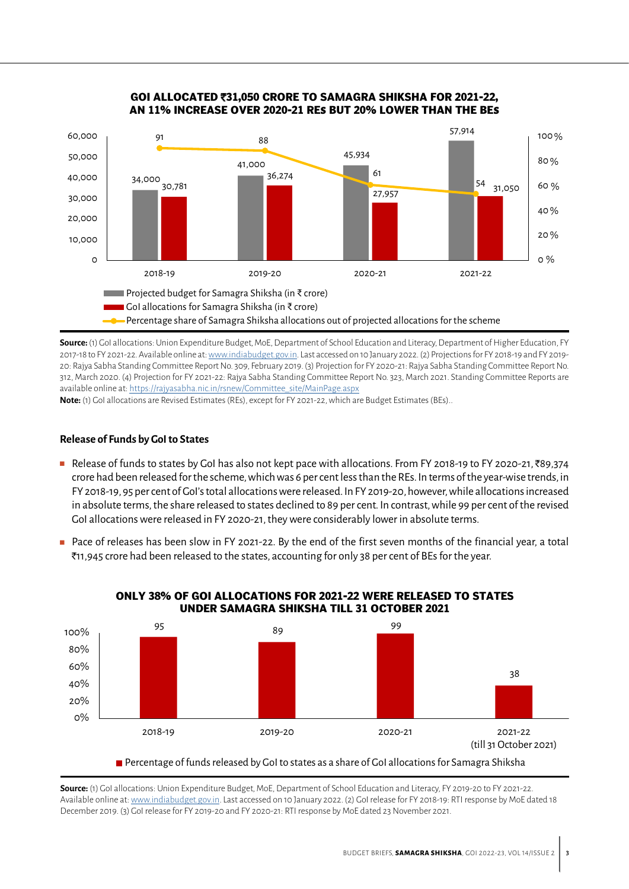

#### **GOI ALLOCATED** `**31,050 CRORE TO SAMAGRA SHIKSHA FOR 2021-22, AN 11% INCREASE OVER 2020-21 RE**S **BUT 20% LOWER THAN THE BE**S

**Source:** (1) GoI allocations: Union Expenditure Budget, MoE, Department of School Education and Literacy, Department of Higher Education, FY 2017-18 to FY 2021-22. Available online at: [www.indiabudget.gov.in](http://www.indiabudget.gov.in). Last accessed on 10 January 2022. (2) Projections for FY 2018-19 and FY 2019-20: Rajya Sabha Standing Committee Report No. 309, February 2019. (3) Projection for FY 2020-21: Rajya Sabha Standing Committee Report No. 312, March 2020. (4) Projection for FY 2021-22: Rajya Sabha Standing Committee Report No. 323, March 2021. Standing Committee Reports are available online at: [https://rajyasabha.nic.in/rsnew/Committee\\_site/MainPage.aspx](https://rajyasabha.nic.in/rsnew/Committee_site/MainPage.aspx)

**Note:** (1) GoI allocations are Revised Estimates (REs), except for FY 2021-22, which are Budget Estimates (BEs)..

#### **Release of Funds by GoI to States**

- Release of funds to states by GoI has also not kept pace with allocations. From FY 2018-19 to FY 2020-21, ₹89,374 crore had been released for the scheme, which was 6 per cent less than the REs. In terms of the year-wise trends, in FY 2018-19, 95 per cent of GoI's total allocations were released. In FY 2019-20, however, while allocations increased in absolute terms, the share released to states declined to 89 per cent. In contrast, while 99 per cent of the revised GoI allocations were released in FY 2020-21, they were considerably lower in absolute terms.
- Pace of releases has been slow in FY 2021-22. By the end of the first seven months of the financial year, a total `11,945 crore had been released to the states, accounting for only 38 per cent of BEs for the year.



#### **ONLY 38% OF GOI ALLOCATIONS FOR 2021-22 WERE RELEASED TO STATES UNDER SAMAGRA SHIKSHA TILL 31 OCTOBER 2021**

**Source:** (1) GoI allocations: Union Expenditure Budget, MoE, Department of School Education and Literacy, FY 2019-20 to FY 2021-22. Available online at: [www.indiabudget.gov.in.](http://www. indiabudget.gov.in) Last accessed on 10 January 2022. (2) GoI release for FY 2018-19: RTI response by MoE dated 18 December 2019. (3) GoI release for FY 2019-20 and FY 2020-21: RTI response by MoE dated 23 November 2021.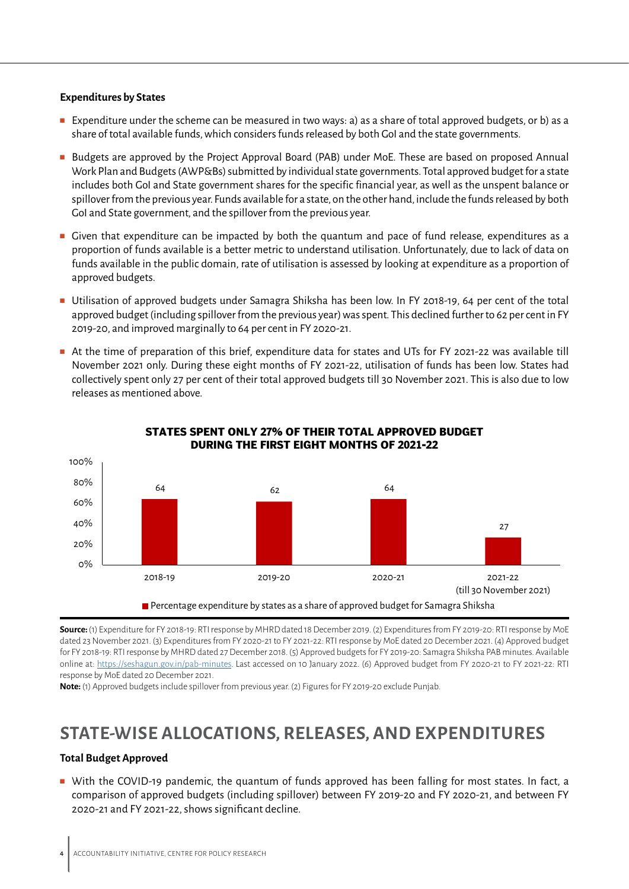#### **Expenditures by States**

- Expenditure under the scheme can be measured in two ways: a) as a share of total approved budgets, or b) as a share of total available funds, which considers funds released by both GoI and the state governments.
- Budgets are approved by the Project Approval Board (PAB) under MoE. These are based on proposed Annual Work Plan and Budgets (AWP&Bs) submitted by individual state governments. Total approved budget for a state includes both GoI and State government shares for the specific financial year, as well as the unspent balance or spillover from the previous year. Funds available for a state, on the other hand, include the funds released by both GoI and State government, and the spillover from the previous year.
- Given that expenditure can be impacted by both the quantum and pace of fund release, expenditures as a proportion of funds available is a better metric to understand utilisation. Unfortunately, due to lack of data on funds available in the public domain, rate of utilisation is assessed by looking at expenditure as a proportion of approved budgets.
- Utilisation of approved budgets under Samagra Shiksha has been low. In FY 2018-19, 64 per cent of the total approved budget (including spillover from the previous year) was spent. This declined further to 62 per cent in FY 2019-20, and improved marginally to 64 per cent in FY 2020-21.
- At the time of preparation of this brief, expenditure data for states and UTs for FY 2021-22 was available till November 2021 only. During these eight months of FY 2021-22, utilisation of funds has been low. States had collectively spent only 27 per cent of their total approved budgets till 30 November 2021. This is also due to low releases as mentioned above.



#### **STATES SPENT ONLY 27% OF THEIR TOTAL APPROVED BUDGET DURING THE FIRST EIGHT MONTHS OF 2021-22**

**Source:** (1) Expenditure for FY 2018-19: RTI response by MHRD dated 18 December 2019. (2) Expenditures from FY 2019-20: RTI response by MoE dated 23 November 2021. (3) Expenditures from FY 2020-21 to FY 2021-22: RTI response by MoE dated 20 December 2021. (4) Approved budget for FY 2018-19: RTI response by MHRD dated 27 December 2018. (5) Approved budgets for FY 2019-20: Samagra Shiksha PAB minutes. Available online at: [https://seshagun.gov.in/pab-minutes.](https://seshagun.gov.in/pab-minutes) Last accessed on 10 January 2022. (6) Approved budget from FY 2020-21 to FY 2021-22: RTI response by MoE dated 20 December 2021.

**Note:** (1) Approved budgets include spillover from previous year. (2) Figures for FY 2019-20 exclude Punjab.

### **STATE-WISE ALLOCATIONS, RELEASES, AND EXPENDITURES**

#### **Total Budget Approved**

■ With the COVID-19 pandemic, the quantum of funds approved has been falling for most states. In fact, a comparison of approved budgets (including spillover) between FY 2019-20 and FY 2020-21, and between FY 2020-21 and FY 2021-22, shows significant decline.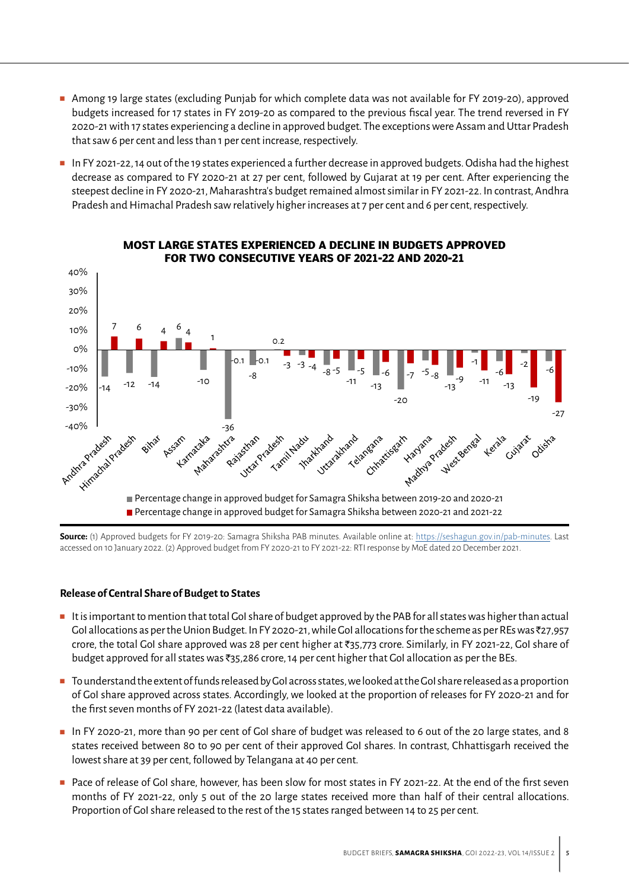- Among 19 large states (excluding Punjab for which complete data was not available for FY 2019-20), approved budgets increased for 17 states in FY 2019-20 as compared to the previous fiscal year. The trend reversed in FY 2020-21 with 17 states experiencing a decline in approved budget. The exceptions were Assam and Uttar Pradesh that saw 6 per cent and less than 1 per cent increase, respectively.
- In FY 2021-22, 14 out of the 19 states experienced a further decrease in approved budgets. Odisha had the highest decrease as compared to FY 2020-21 at 27 per cent, followed by Gujarat at 19 per cent. After experiencing the steepest decline in FY 2020-21, Maharashtra's budget remained almost similar in FY 2021-22. In contrast, Andhra Pradesh and Himachal Pradesh saw relatively higher increases at 7 per cent and 6 per cent, respectively.



**MOST LARGE STATES EXPERIENCED A DECLINE IN BUDGETS APPROVED** 

**Source:** (1) Approved budgets for FY 2019-20: Samagra Shiksha PAB minutes. Available online at: [https://seshagun.gov.in/pab-minutes.](https://seshagun.gov.in/pab-minutes) Last accessed on 10 January 2022. (2) Approved budget from FY 2020-21 to FY 2021-22: RTI response by MoE dated 20 December 2021.

#### **Release of Central Share of Budget to States**

- It is important to mention that total GoI share of budget approved by the PAB for all states was higher than actual Gol allocations as per the Union Budget. In FY 2020-21, while Gol allocations for the scheme as per REs was  $\bar{z}$ 27,957 crore, the total GoI share approved was 28 per cent higher at `35,773 crore. Similarly, in FY 2021-22, GoI share of budget approved for all states was  $\overline{35,286}$  crore, 14 per cent higher that GoI allocation as per the BEs.
- To understand the extent of funds released by GoI across states, we looked at the GoI share released as a proportion of GoI share approved across states. Accordingly, we looked at the proportion of releases for FY 2020-21 and for the first seven months of FY 2021-22 (latest data available).
- In FY 2020-21, more than 90 per cent of GoI share of budget was released to 6 out of the 20 large states, and 8 states received between 80 to 90 per cent of their approved GoI shares. In contrast, Chhattisgarh received the lowest share at 39 per cent, followed by Telangana at 40 per cent.
- Pace of release of Gol share, however, has been slow for most states in FY 2021-22. At the end of the first seven months of FY 2021-22, only 5 out of the 20 large states received more than half of their central allocations. Proportion of GoI share released to the rest of the 15 states ranged between 14 to 25 per cent.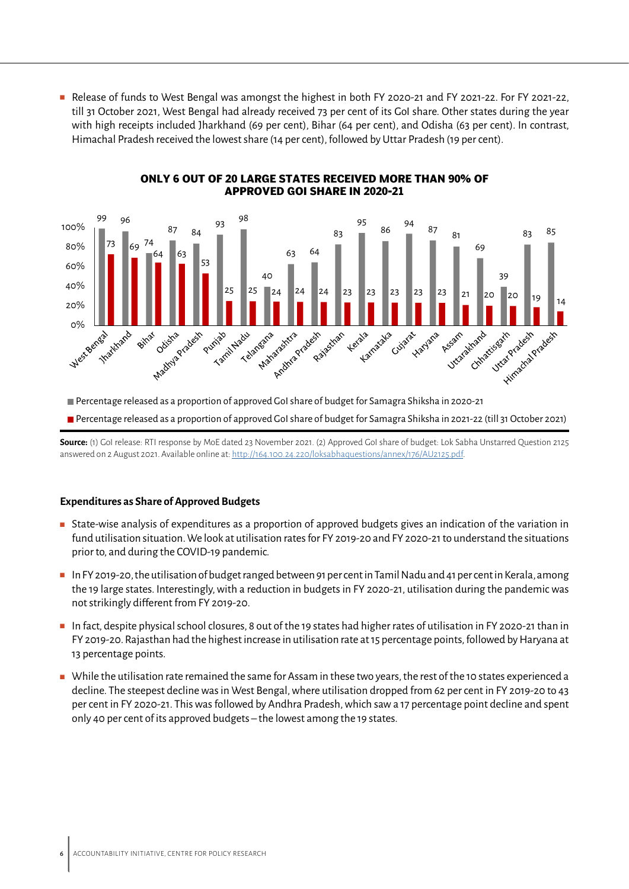■ Release of funds to West Bengal was amongst the highest in both FY 2020-21 and FY 2021-22. For FY 2021-22, till 31 October 2021, West Bengal had already received 73 per cent of its GoI share. Other states during the year with high receipts included Jharkhand (69 per cent), Bihar (64 per cent), and Odisha (63 per cent). In contrast, Himachal Pradesh received the lowest share (14 per cent), followed by Uttar Pradesh (19 per cent).



#### **ONLY 6 OUT OF 20 LARGE STATES RECEIVED MORE THAN 90% OF APPROVED GOI SHARE IN 2020-21**

Percentage released as a proportion of approved GoI share of budget for Samagra Shiksha in 2021-22 (till 31 October 2021)

**Source:** (1) GoI release: RTI response by MoE dated 23 November 2021. (2) Approved GoI share of budget: Lok Sabha Unstarred Question 2125 answered on 2 August 2021. Available online at: <http://164.100.24.220/loksabhaquestions/annex/176/AU2125.pdf>.

#### **Expenditures as Share of Approved Budgets**

- State-wise analysis of expenditures as a proportion of approved budgets gives an indication of the variation in fund utilisation situation. We look at utilisation rates for FY 2019-20 and FY 2020-21 to understand the situations prior to, and during the COVID-19 pandemic.
- In FY 2019-20, the utilisation of budget ranged between 91 per cent in Tamil Nadu and 41 per cent in Kerala, among the 19 large states. Interestingly, with a reduction in budgets in FY 2020-21, utilisation during the pandemic was not strikingly different from FY 2019-20.
- In fact, despite physical school closures, 8 out of the 19 states had higher rates of utilisation in FY 2020-21 than in FY 2019-20. Rajasthan had the highest increase in utilisation rate at 15 percentage points, followed by Haryana at 13 percentage points.
- While the utilisation rate remained the same for Assam in these two vears, the rest of the 10 states experienced a decline. The steepest decline was in West Bengal, where utilisation dropped from 62 per cent in FY 2019-20 to 43 per cent in FY 2020-21. This was followed by Andhra Pradesh, which saw a 17 percentage point decline and spent only 40 per cent of its approved budgets – the lowest among the 19 states.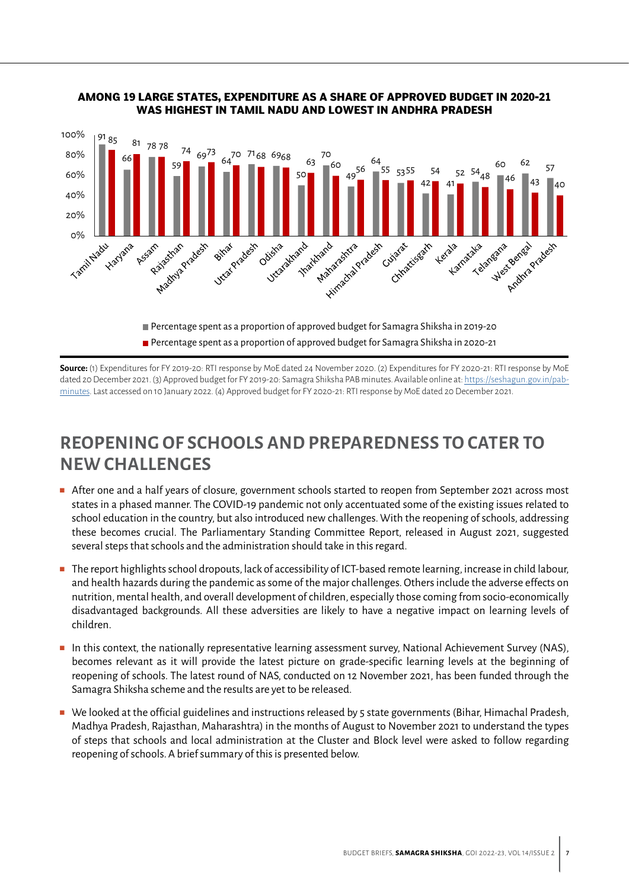

#### **AMONG 19 LARGE STATES, EXPENDITURE AS A SHARE OF APPROVED BUDGET IN 2020-21 WAS HIGHEST IN TAMIL NADU AND LOWEST IN ANDHRA PRADESH**

Percentage spent as a proportion of approved budget for Samagra Shiksha in 2020-21

**Source:** (1) Expenditures for FY 2019-20: RTI response by MoE dated 24 November 2020. (2) Expenditures for FY 2020-21: RTI response by MoE dated 20 December 2021. (3) Approved budget for FY 2019-20: Samagra Shiksha PAB minutes. Available online at: [https://seshagun.gov.in/pab](https://seshagun.gov.in/pab-minutes)[minutes](https://seshagun.gov.in/pab-minutes). Last accessed on 10 January 2022. (4) Approved budget for FY 2020-21: RTI response by MoE dated 20 December 2021.

## **REOPENING OF SCHOOLS AND PREPAREDNESS TO CATER TO NEW CHALLENGES**

- After one and a half years of closure, government schools started to reopen from September 2021 across most states in a phased manner. The COVID-19 pandemic not only accentuated some of the existing issues related to school education in the country, but also introduced new challenges. With the reopening of schools, addressing these becomes crucial. The Parliamentary Standing Committee Report, released in August 2021, suggested several steps that schools and the administration should take in this regard.
- The report highlights school dropouts, lack of accessibility of ICT-based remote learning, increase in child labour, and health hazards during the pandemic as some of the major challenges. Others include the adverse effects on nutrition, mental health, and overall development of children, especially those coming from socio-economically disadvantaged backgrounds. All these adversities are likely to have a negative impact on learning levels of children.
- In this context, the nationally representative learning assessment survey, National Achievement Survey (NAS), becomes relevant as it will provide the latest picture on grade-specific learning levels at the beginning of reopening of schools. The latest round of NAS, conducted on 12 November 2021, has been funded through the Samagra Shiksha scheme and the results are yet to be released.
- We looked at the official guidelines and instructions released by 5 state governments (Bihar, Himachal Pradesh, Madhya Pradesh, Rajasthan, Maharashtra) in the months of August to November 2021 to understand the types of steps that schools and local administration at the Cluster and Block level were asked to follow regarding reopening of schools. A brief summary of this is presented below.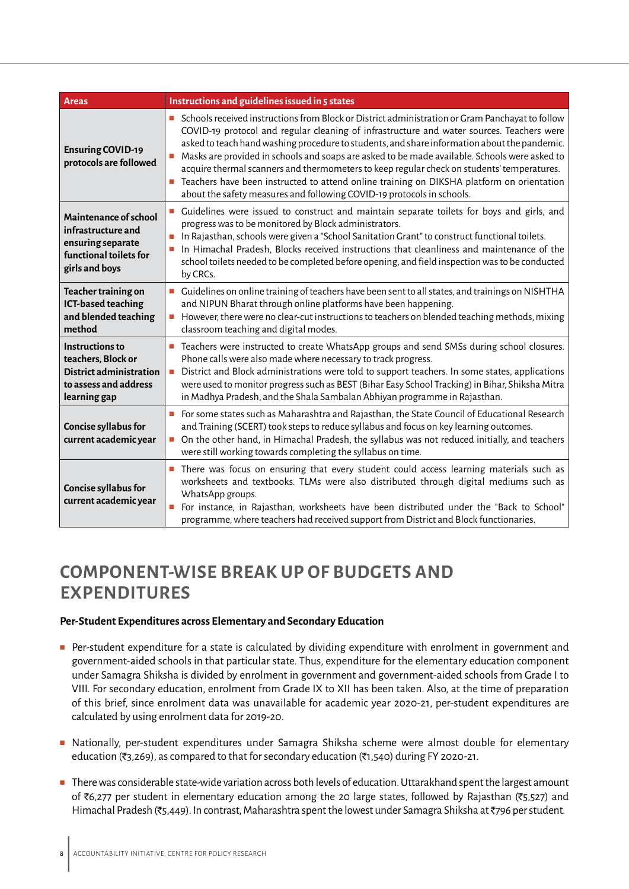| <b>Areas</b>                                                                                                     | Instructions and guidelines issued in 5 states                                                                                                                                                                                                                                                                                                                                                                                                                                                                                                                                                                                                                           |
|------------------------------------------------------------------------------------------------------------------|--------------------------------------------------------------------------------------------------------------------------------------------------------------------------------------------------------------------------------------------------------------------------------------------------------------------------------------------------------------------------------------------------------------------------------------------------------------------------------------------------------------------------------------------------------------------------------------------------------------------------------------------------------------------------|
| <b>Ensuring COVID-19</b><br>protocols are followed                                                               | Schools received instructions from Block or District administration or Gram Panchayat to follow<br>COVID-19 protocol and regular cleaning of infrastructure and water sources. Teachers were<br>asked to teach hand washing procedure to students, and share information about the pandemic.<br>Masks are provided in schools and soaps are asked to be made available. Schools were asked to<br>Ē,<br>acquire thermal scanners and thermometers to keep regular check on students' temperatures.<br>Teachers have been instructed to attend online training on DIKSHA platform on orientation<br>about the safety measures and following COVID-19 protocols in schools. |
| Maintenance of school<br>infrastructure and<br>ensuring separate<br>functional toilets for<br>girls and boys     | Guidelines were issued to construct and maintain separate toilets for boys and girls, and<br>progress was to be monitored by Block administrators.<br>In Rajasthan, schools were given a "School Sanitation Grant" to construct functional toilets.<br>u,<br>In Himachal Pradesh, Blocks received instructions that cleanliness and maintenance of the<br>$\blacksquare$<br>school toilets needed to be completed before opening, and field inspection was to be conducted<br>by CRCs.                                                                                                                                                                                   |
| Teacher training on<br>ICT-based teaching<br>and blended teaching<br>method                                      | Guidelines on online training of teachers have been sent to all states, and trainings on NISHTHA<br>and NIPUN Bharat through online platforms have been happening.<br>However, there were no clear-cut instructions to teachers on blended teaching methods, mixing<br>$\mathcal{L}_{\mathcal{A}}$<br>classroom teaching and digital modes.                                                                                                                                                                                                                                                                                                                              |
| <b>Instructions to</b><br>teachers, Block or<br>District administration<br>to assess and address<br>learning gap | Teachers were instructed to create WhatsApp groups and send SMSs during school closures.<br>Phone calls were also made where necessary to track progress.<br>District and Block administrations were told to support teachers. In some states, applications<br>$\Box$<br>were used to monitor progress such as BEST (Bihar Easy School Tracking) in Bihar, Shiksha Mitra<br>in Madhya Pradesh, and the Shala Sambalan Abhiyan programme in Rajasthan.                                                                                                                                                                                                                    |
| Concise syllabus for<br>current academic year                                                                    | For some states such as Maharashtra and Rajasthan, the State Council of Educational Research<br>$\blacksquare$<br>and Training (SCERT) took steps to reduce syllabus and focus on key learning outcomes.<br>On the other hand, in Himachal Pradesh, the syllabus was not reduced initially, and teachers<br>$\mathcal{L}_{\mathcal{A}}$<br>were still working towards completing the syllabus on time.                                                                                                                                                                                                                                                                   |
| Concise syllabus for<br>current academic year                                                                    | There was focus on ensuring that every student could access learning materials such as<br>worksheets and textbooks. TLMs were also distributed through digital mediums such as<br>WhatsApp groups.<br>For instance, in Rajasthan, worksheets have been distributed under the "Back to School"<br>u,<br>programme, where teachers had received support from District and Block functionaries.                                                                                                                                                                                                                                                                             |

# **COMPONENT-WISE BREAK UP OF BUDGETS AND EXPENDITURES**

#### **Per-Student Expenditures across Elementary and Secondary Education**

- Per-student expenditure for a state is calculated by dividing expenditure with enrolment in government and government-aided schools in that particular state. Thus, expenditure for the elementary education component under Samagra Shiksha is divided by enrolment in government and government-aided schools from Grade I to VIII. For secondary education, enrolment from Grade IX to XII has been taken. Also, at the time of preparation of this brief, since enrolment data was unavailable for academic year 2020-21, per-student expenditures are calculated by using enrolment data for 2019-20.
- Nationally, per-student expenditures under Samagra Shiksha scheme were almost double for elementary education ( $\overline{3}$ ,269), as compared to that for secondary education ( $\overline{3}$ ,540) during FY 2020-21.
- There was considerable state-wide variation across both levels of education. Uttarakhand spent the largest amount of  $\bar{\mathcal{E}}$ 6,277 per student in elementary education among the 20 large states, followed by Rajasthan ( $\bar{\mathcal{E}}$ 5,527) and Himachal Pradesh (₹5,449). In contrast, Maharashtra spent the lowest under Samagra Shiksha at ₹796 per student.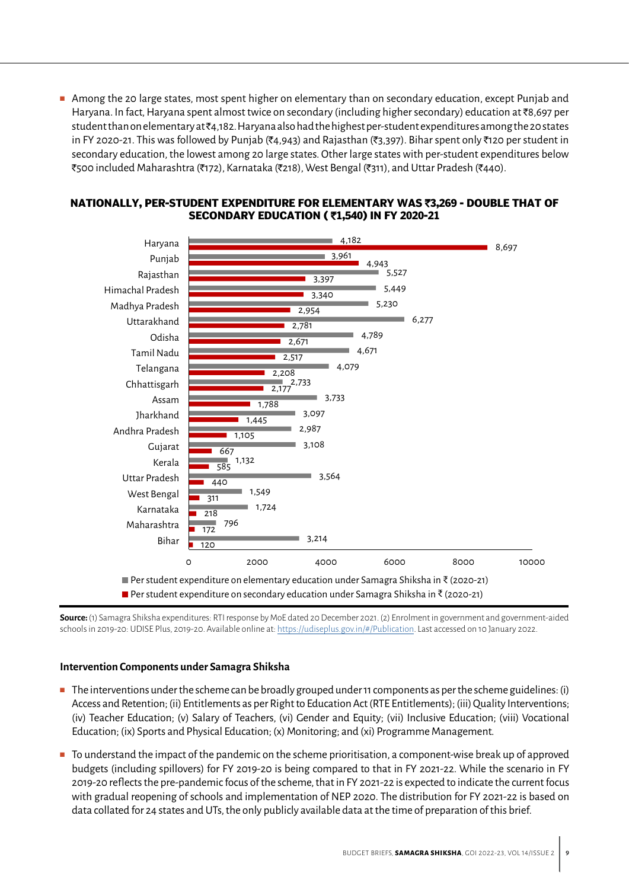■ Among the 20 large states, most spent higher on elementary than on secondary education, except Punjab and Haryana. In fact, Haryana spent almost twice on secondary (including higher secondary) education at `8,697 per student than on elementary at  $\bar{\tau}$ 4,182. Haryana also had the highest per-student expenditures among the 20 states in FY 2020-21. This was followed by Punjab (₹4,943) and Rajasthan (₹3,397). Bihar spent only ₹120 per student in secondary education, the lowest among 20 large states. Other large states with per-student expenditures below ₹500 included Maharashtra (₹172), Karnataka (₹218), West Bengal (₹311), and Uttar Pradesh (₹440).



#### **NATIONALLY, PER-STUDENT EXPENDITURE FOR ELEMENTARY WAS** `**3,269 - DOUBLE THAT OF SECONDARY EDUCATION (** `**1,540) IN FY 2020-21**

**Source:** (1) Samagra Shiksha expenditures: RTI response by MoE dated 20 December 2021. (2) Enrolment in government and government-aided schools in 2019-20: UDISE Plus, 2019-20. Available online at: [https://udiseplus.gov.in/#/Publication.](https://udiseplus.gov.in/#/Publication) Last accessed on 10 January 2022.

#### **Intervention Components under Samagra Shiksha**

- The interventions under the scheme can be broadly grouped under 11 components as per the scheme guidelines: (i) Access and Retention; (ii) Entitlements as per Right to Education Act (RTE Entitlements); (iii) Quality Interventions; (iv) Teacher Education; (v) Salary of Teachers, (vi) Gender and Equity; (vii) Inclusive Education; (viii) Vocational Education; (ix) Sports and Physical Education; (x) Monitoring; and (xi) Programme Management.
- To understand the impact of the pandemic on the scheme prioritisation, a component-wise break up of approved budgets (including spillovers) for FY 2019-20 is being compared to that in FY 2021-22. While the scenario in FY 2019-20 reflects the pre-pandemic focus of the scheme, that in FY 2021-22 is expected to indicate the current focus with gradual reopening of schools and implementation of NEP 2020. The distribution for FY 2021-22 is based on data collated for 24 states and UTs, the only publicly available data at the time of preparation of this brief.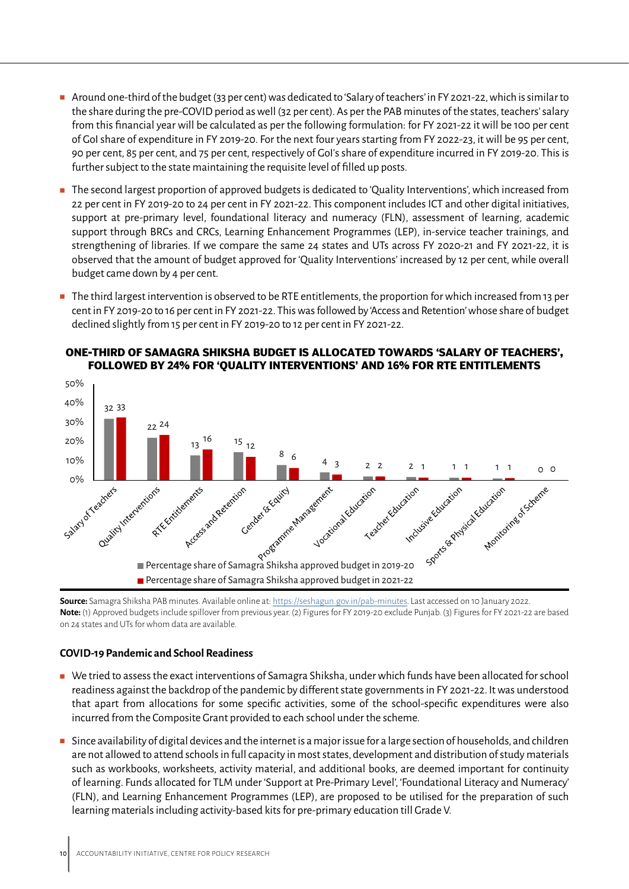- Around one-third of the budget (33 per cent) was dedicated to 'Salary of teachers' in FY 2021-22, which is similar to the share during the pre-COVID period as well (32 per cent). As per the PAB minutes of the states, teachers' salary from this financial year will be calculated as per the following formulation: for FY 2021-22 it will be 100 per cent of GoI share of expenditure in FY 2019-20. For the next four years starting from FY 2022-23, it will be 95 per cent, 90 per cent, 85 per cent, and 75 per cent, respectively of GoI's share of expenditure incurred in FY 2019-20. This is further subject to the state maintaining the requisite level of filled up posts.
- The second largest proportion of approved budgets is dedicated to 'Quality Interventions', which increased from 22 per cent in FY 2019-20 to 24 per cent in FY 2021-22. This component includes ICT and other digital initiatives, support at pre-primary level, foundational literacy and numeracy (FLN), assessment of learning, academic support through BRCs and CRCs, Learning Enhancement Programmes (LEP), in-service teacher trainings, and strengthening of libraries. If we compare the same 24 states and UTs across FY 2020-21 and FY 2021-22, it is observed that the amount of budget approved for 'Quality Interventions' increased by 12 per cent, while overall budget came down by 4 per cent.
- The third largest intervention is observed to be RTE entitlements, the proportion for which increased from 13 per cent in FY 2019-20 to 16 per cent in FY 2021-22. This was followed by 'Access and Retention' whose share of budget declined slightly from 15 per cent in FY 2019-20 to 12 per cent in FY 2021-22.



#### **ONE-THIRD OF SAMAGRA SHIKSHA BUDGET IS ALLOCATED TOWARDS 'SALARY OF TEACHERS', FOLLOWED BY 24% FOR 'QUALITY INTERVENTIONS' AND 16% FOR RTE ENTITLEMENTS**

**Source:** Samagra Shiksha PAB minutes. Available online at:<https://seshagun.gov.in/pab-minutes>. Last accessed on 10 January 2022. **Note:** (1) Approved budgets include spillover from previous year. (2) Figures for FY 2019-20 exclude Punjab. (3) Figures for FY 2021-22 are based on 24 states and UTs for whom data are available.

#### **COVID-19 Pandemic and School Readiness**

- We tried to assess the exact interventions of Samagra Shiksha, under which funds have been allocated for school readiness against the backdrop of the pandemic by different state governments in FY 2021-22. It was understood that apart from allocations for some specific activities, some of the school-specific expenditures were also incurred from the Composite Grant provided to each school under the scheme.
- Since availability of digital devices and the internet is a major issue for a large section of households, and children are not allowed to attend schools in full capacity in most states, development and distribution of study materials such as workbooks, worksheets, activity material, and additional books, are deemed important for continuity of learning. Funds allocated for TLM under 'Support at Pre-Primary Level', 'Foundational Literacy and Numeracy' (FLN), and Learning Enhancement Programmes (LEP), are proposed to be utilised for the preparation of such learning materials including activity-based kits for pre-primary education till Grade V.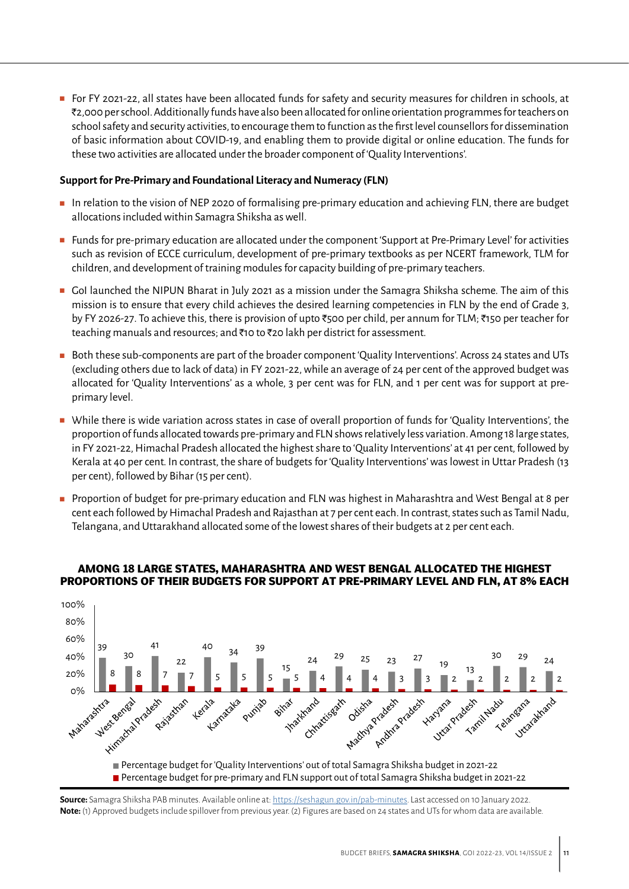■ For FY 2021-22, all states have been allocated funds for safety and security measures for children in schools, at `2,000 per school. Additionally funds have also been allocated for online orientation programmes for teachers on school safety and security activities, to encourage them to function as the first level counsellors for dissemination of basic information about COVID-19, and enabling them to provide digital or online education. The funds for these two activities are allocated under the broader component of 'Quality Interventions'.

#### **Support for Pre-Primary and Foundational Literacy and Numeracy (FLN)**

- In relation to the vision of NEP 2020 of formalising pre-primary education and achieving FLN, there are budget allocations included within Samagra Shiksha as well.
- Funds for pre-primary education are allocated under the component 'Support at Pre-Primary Level' for activities such as revision of ECCE curriculum, development of pre-primary textbooks as per NCERT framework, TLM for children, and development of training modules for capacity building of pre-primary teachers.
- GoI launched the NIPUN Bharat in July 2021 as a mission under the Samagra Shiksha scheme. The aim of this mission is to ensure that every child achieves the desired learning competencies in FLN by the end of Grade 3, by FY 2026-27. To achieve this, there is provision of upto ₹500 per child, per annum for TLM; ₹150 per teacher for teaching manuals and resources; and  $\bar{\tau}$ 10 to  $\bar{\tau}$ 20 lakh per district for assessment.
- Both these sub-components are part of the broader component 'Quality Interventions'. Across 24 states and UTs (excluding others due to lack of data) in FY 2021-22, while an average of 24 per cent of the approved budget was allocated for 'Quality Interventions' as a whole, 3 per cent was for FLN, and 1 per cent was for support at preprimary level.
- While there is wide variation across states in case of overall proportion of funds for 'Quality Interventions', the proportion of funds allocated towards pre-primary and FLN shows relatively less variation. Among 18 large states, in FY 2021-22, Himachal Pradesh allocated the highest share to 'Quality Interventions' at 41 per cent, followed by Kerala at 40 per cent. In contrast, the share of budgets for 'Quality Interventions' was lowest in Uttar Pradesh (13 per cent), followed by Bihar (15 per cent).
- Proportion of budget for pre-primary education and FLN was highest in Maharashtra and West Bengal at 8 per cent each followed by Himachal Pradesh and Rajasthan at 7 per cent each. In contrast, states such as Tamil Nadu, Telangana, and Uttarakhand allocated some of the lowest shares of their budgets at 2 per cent each.



#### **AMONG 18 LARGE STATES, MAHARASHTRA AND WEST BENGAL ALLOCATED THE HIGHEST PROPORTIONS OF THEIR BUDGETS FOR SUPPORT AT PRE-PRIMARY LEVEL AND FLN, AT 8% EACH**

**Source:** Samagra Shiksha PAB minutes. Available online at:<https://seshagun.gov.in/pab-minutes>. Last accessed on 10 January 2022. **Note:** (1) Approved budgets include spillover from previous year. (2) Figures are based on 24 states and UTs for whom data are available.